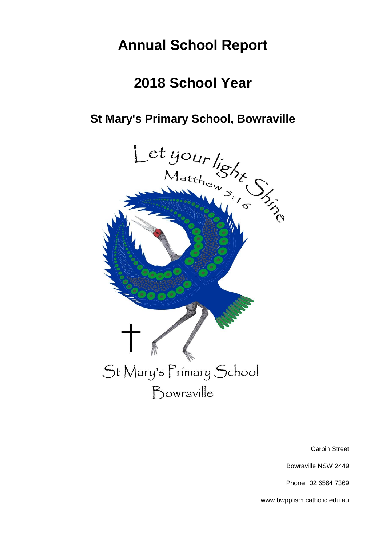# **Annual School Report**

# **2018 School Year**



Carbin Street

Bowraville NSW 2449

Phone 02 6564 7369

www.bwpplism.catholic.edu.au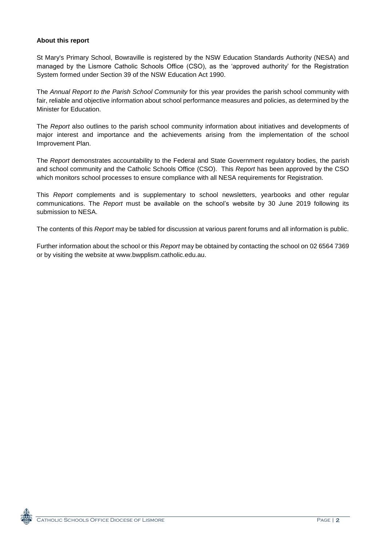#### **About this report**

St Mary's Primary School, Bowraville is registered by the NSW Education Standards Authority (NESA) and managed by the Lismore Catholic Schools Office (CSO), as the 'approved authority' for the Registration System formed under Section 39 of the NSW Education Act 1990.

The *Annual Report to the Parish School Community* for this year provides the parish school community with fair, reliable and objective information about school performance measures and policies, as determined by the Minister for Education.

The *Report* also outlines to the parish school community information about initiatives and developments of major interest and importance and the achievements arising from the implementation of the school Improvement Plan.

The *Report* demonstrates accountability to the Federal and State Government regulatory bodies, the parish and school community and the Catholic Schools Office (CSO). This *Report* has been approved by the CSO which monitors school processes to ensure compliance with all NESA requirements for Registration.

This *Report* complements and is supplementary to school newsletters, yearbooks and other regular communications. The *Report* must be available on the school's website by 30 June 2019 following its submission to NESA.

The contents of this *Report* may be tabled for discussion at various parent forums and all information is public.

Further information about the school or this *Report* may be obtained by contacting the school on 02 6564 7369 or by visiting the website at www.bwpplism.catholic.edu.au.

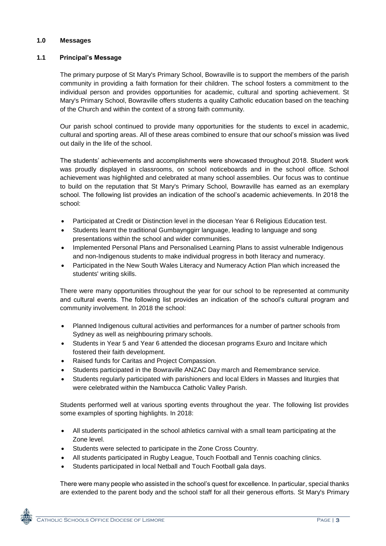#### **1.0 Messages**

# **1.1 Principal's Message**

The primary purpose of St Mary's Primary School, Bowraville is to support the members of the parish community in providing a faith formation for their children. The school fosters a commitment to the individual person and provides opportunities for academic, cultural and sporting achievement. St Mary's Primary School, Bowraville offers students a quality Catholic education based on the teaching of the Church and within the context of a strong faith community.

Our parish school continued to provide many opportunities for the students to excel in academic, cultural and sporting areas. All of these areas combined to ensure that our school's mission was lived out daily in the life of the school.

The students' achievements and accomplishments were showcased throughout 2018. Student work was proudly displayed in classrooms, on school noticeboards and in the school office. School achievement was highlighted and celebrated at many school assemblies. Our focus was to continue to build on the reputation that St Mary's Primary School, Bowraville has earned as an exemplary school. The following list provides an indication of the school's academic achievements. In 2018 the school:

- Participated at Credit or Distinction level in the diocesan Year 6 Religious Education test.
- Students learnt the traditional Gumbaynggirr language, leading to language and song presentations within the school and wider communities.
- Implemented Personal Plans and Personalised Learning Plans to assist vulnerable Indigenous and non-Indigenous students to make individual progress in both literacy and numeracy.
- Participated in the New South Wales Literacy and Numeracy Action Plan which increased the students' writing skills.

There were many opportunities throughout the year for our school to be represented at community and cultural events. The following list provides an indication of the school's cultural program and community involvement. In 2018 the school:

- Planned Indigenous cultural activities and performances for a number of partner schools from Sydney as well as neighbouring primary schools.
- Students in Year 5 and Year 6 attended the diocesan programs Exuro and Incitare which fostered their faith development.
- Raised funds for Caritas and Project Compassion.
- Students participated in the Bowraville ANZAC Day march and Remembrance service.
- Students regularly participated with parishioners and local Elders in Masses and liturgies that were celebrated within the Nambucca Catholic Valley Parish.

Students performed well at various sporting events throughout the year. The following list provides some examples of sporting highlights. In 2018:

- All students participated in the school athletics carnival with a small team participating at the Zone level.
- Students were selected to participate in the Zone Cross Country.
- All students participated in Rugby League, Touch Football and Tennis coaching clinics.
- Students participated in local Netball and Touch Football gala days.

There were many people who assisted in the school's quest for excellence. In particular, special thanks are extended to the parent body and the school staff for all their generous efforts. St Mary's Primary

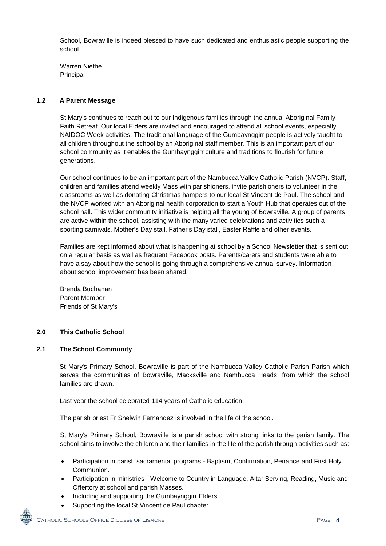School, Bowraville is indeed blessed to have such dedicated and enthusiastic people supporting the school.

Warren Niethe Principal

# **1.2 A Parent Message**

St Mary's continues to reach out to our Indigenous families through the annual Aboriginal Family Faith Retreat. Our local Elders are invited and encouraged to attend all school events, especially NAIDOC Week activities. The traditional language of the Gumbaynggirr people is actively taught to all children throughout the school by an Aboriginal staff member. This is an important part of our school community as it enables the Gumbaynggirr culture and traditions to flourish for future generations.

Our school continues to be an important part of the Nambucca Valley Catholic Parish (NVCP). Staff, children and families attend weekly Mass with parishioners, invite parishioners to volunteer in the classrooms as well as donating Christmas hampers to our local St Vincent de Paul. The school and the NVCP worked with an Aboriginal health corporation to start a Youth Hub that operates out of the school hall. This wider community initiative is helping all the young of Bowraville. A group of parents are active within the school, assisting with the many varied celebrations and activities such a sporting carnivals, Mother's Day stall, Father's Day stall, Easter Raffle and other events.

Families are kept informed about what is happening at school by a School Newsletter that is sent out on a regular basis as well as frequent Facebook posts. Parents/carers and students were able to have a say about how the school is going through a comprehensive annual survey. Information about school improvement has been shared.

Brenda Buchanan Parent Member Friends of St Mary's

# **2.0 This Catholic School**

#### **2.1 The School Community**

St Mary's Primary School, Bowraville is part of the Nambucca Valley Catholic Parish Parish which serves the communities of Bowraville, Macksville and Nambucca Heads, from which the school families are drawn.

Last year the school celebrated 114 years of Catholic education.

The parish priest Fr Shelwin Fernandez is involved in the life of the school.

St Mary's Primary School, Bowraville is a parish school with strong links to the parish family. The school aims to involve the children and their families in the life of the parish through activities such as:

- Participation in parish sacramental programs Baptism, Confirmation, Penance and First Holy Communion.
- Participation in ministries Welcome to Country in Language, Altar Serving, Reading, Music and Offertory at school and parish Masses.
- Including and supporting the Gumbaynggirr Elders.
- Supporting the local St Vincent de Paul chapter.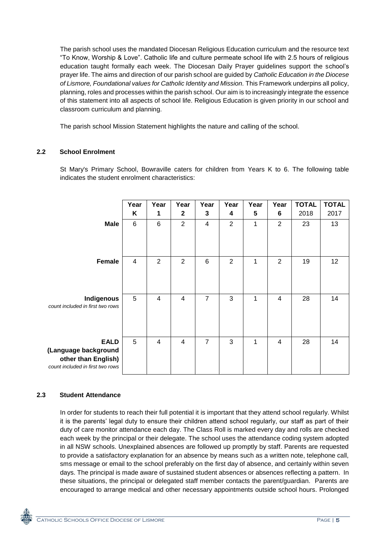The parish school uses the mandated Diocesan Religious Education curriculum and the resource text "To Know, Worship & Love". Catholic life and culture permeate school life with 2.5 hours of religious education taught formally each week. The Diocesan Daily Prayer guidelines support the school's prayer life. The aims and direction of our parish school are guided by *Catholic Education in the Diocese of Lismore, Foundational values for Catholic Identity and Mission.* This Framework underpins all policy, planning, roles and processes within the parish school. Our aim is to increasingly integrate the essence of this statement into all aspects of school life. Religious Education is given priority in our school and classroom curriculum and planning.

The parish school Mission Statement highlights the nature and calling of the school.

# **2.2 School Enrolment**

St Mary's Primary School, Bowraville caters for children from Years K to 6. The following table indicates the student enrolment characteristics:

|                                                                                                | Year<br>Κ      | Year<br>1       | Year<br>$\mathbf{2}$ | Year<br>3      | Year<br>4      | Year<br>5 | Year<br>$6\phantom{1}6$ | <b>TOTAL</b><br>2018 | <b>TOTAL</b><br>2017 |
|------------------------------------------------------------------------------------------------|----------------|-----------------|----------------------|----------------|----------------|-----------|-------------------------|----------------------|----------------------|
| <b>Male</b>                                                                                    | $\,6$          | $6\phantom{1}6$ | $\overline{2}$       | $\overline{4}$ | $\overline{2}$ | 1         | $\overline{2}$          | 23                   | 13                   |
| <b>Female</b>                                                                                  | $\overline{4}$ | $\overline{2}$  | $\overline{2}$       | 6              | $\overline{2}$ | 1         | $\overline{2}$          | 19                   | 12                   |
| Indigenous<br>count included in first two rows                                                 | $\overline{5}$ | 4               | $\overline{4}$       | $\overline{7}$ | 3              | 1         | $\overline{4}$          | 28                   | 14                   |
| <b>EALD</b><br>(Language background<br>other than English)<br>count included in first two rows | 5              | $\overline{4}$  | $\overline{4}$       | $\overline{7}$ | 3              | 1         | $\overline{\mathbf{4}}$ | 28                   | 14                   |

#### **2.3 Student Attendance**

In order for students to reach their full potential it is important that they attend school regularly. Whilst it is the parents' legal duty to ensure their children attend school regularly, our staff as part of their duty of care monitor attendance each day. The Class Roll is marked every day and rolls are checked each week by the principal or their delegate. The school uses the attendance coding system adopted in all NSW schools. Unexplained absences are followed up promptly by staff. Parents are requested to provide a satisfactory explanation for an absence by means such as a written note, telephone call, sms message or email to the school preferably on the first day of absence, and certainly within seven days. The principal is made aware of sustained student absences or absences reflecting a pattern. In these situations, the principal or delegated staff member contacts the parent/guardian. Parents are encouraged to arrange medical and other necessary appointments outside school hours. Prolonged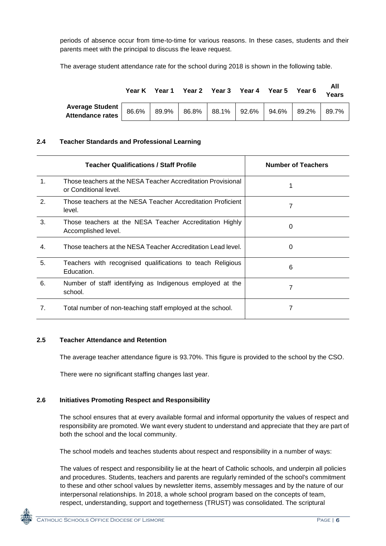periods of absence occur from time-to-time for various reasons. In these cases, students and their parents meet with the principal to discuss the leave request.

The average student attendance rate for the school during 2018 is shown in the following table.

|                                                                                                                                                                                                                                | Year K | Year 1 |  | Year 2 Year 3 Year 4 Year 5 | Year 6 | All<br><b>Years</b> |
|--------------------------------------------------------------------------------------------------------------------------------------------------------------------------------------------------------------------------------|--------|--------|--|-----------------------------|--------|---------------------|
| Average Student   86.6%   89.9%   86.8%   88.1%   92.6%   94.6%   89.2%   89.2%   Research   89.2%   89.2%   89.2%   89.2%   89.2%   89.2%   89.2%   89.2%   89.2%   89.2%   89.2%   89.2%   89.2%   89.2%   89.2%   89.2%   8 |        |        |  |                             |        | 89.7%               |

# **2.4 Teacher Standards and Professional Learning**

|                | Teacher Qualifications / Staff Profile                                                | <b>Number of Teachers</b> |
|----------------|---------------------------------------------------------------------------------------|---------------------------|
| $\mathbf 1$ .  | Those teachers at the NESA Teacher Accreditation Provisional<br>or Conditional level. |                           |
| 2.             | Those teachers at the NESA Teacher Accreditation Proficient<br>level.                 | 7                         |
| 3.             | Those teachers at the NESA Teacher Accreditation Highly<br>Accomplished level.        | 0                         |
| 4.             | Those teachers at the NESA Teacher Accreditation Lead level.                          | 0                         |
| 5.             | Teachers with recognised qualifications to teach Religious<br>Education.              | 6                         |
| 6.             | Number of staff identifying as Indigenous employed at the<br>school.                  | 7                         |
| 7 <sub>1</sub> | Total number of non-teaching staff employed at the school.                            | 7                         |

# **2.5 Teacher Attendance and Retention**

The average teacher attendance figure is 93.70%. This figure is provided to the school by the CSO.

There were no significant staffing changes last year.

# **2.6 Initiatives Promoting Respect and Responsibility**

The school ensures that at every available formal and informal opportunity the values of respect and responsibility are promoted. We want every student to understand and appreciate that they are part of both the school and the local community.

The school models and teaches students about respect and responsibility in a number of ways:

The values of respect and responsibility lie at the heart of Catholic schools, and underpin all policies and procedures. Students, teachers and parents are regularly reminded of the school's commitment to these and other school values by newsletter items, assembly messages and by the nature of our interpersonal relationships. In 2018, a whole school program based on the concepts of team, respect, understanding, support and togetherness (TRUST) was consolidated. The scriptural

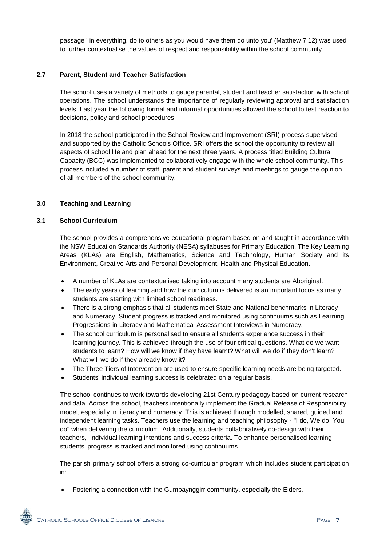passage ' in everything, do to others as you would have them do unto you' (Matthew 7:12) was used to further contextualise the values of respect and responsibility within the school community.

#### **2.7 Parent, Student and Teacher Satisfaction**

The school uses a variety of methods to gauge parental, student and teacher satisfaction with school operations. The school understands the importance of regularly reviewing approval and satisfaction levels. Last year the following formal and informal opportunities allowed the school to test reaction to decisions, policy and school procedures.

In 2018 the school participated in the School Review and Improvement (SRI) process supervised and supported by the Catholic Schools Office. SRI offers the school the opportunity to review all aspects of school life and plan ahead for the next three years. A process titled Building Cultural Capacity (BCC) was implemented to collaboratively engage with the whole school community. This process included a number of staff, parent and student surveys and meetings to gauge the opinion of all members of the school community.

#### **3.0 Teaching and Learning**

#### **3.1 School Curriculum**

The school provides a comprehensive educational program based on and taught in accordance with the NSW Education Standards Authority (NESA) syllabuses for Primary Education. The Key Learning Areas (KLAs) are English, Mathematics, Science and Technology, Human Society and its Environment, Creative Arts and Personal Development, Health and Physical Education.

- A number of KLAs are contextualised taking into account many students are Aboriginal.
- The early years of learning and how the curriculum is delivered is an important focus as many students are starting with limited school readiness.
- There is a strong emphasis that all students meet State and National benchmarks in Literacy and Numeracy. Student progress is tracked and monitored using continuums such as Learning Progressions in Literacy and Mathematical Assessment Interviews in Numeracy.
- The school curriculum is personalised to ensure all students experience success in their learning journey. This is achieved through the use of four critical questions. What do we want students to learn? How will we know if they have learnt? What will we do if they don't learn? What will we do if they already know it?
- The Three Tiers of Intervention are used to ensure specific learning needs are being targeted.
- Students' individual learning success is celebrated on a regular basis.

The school continues to work towards developing 21st Century pedagogy based on current research and data. Across the school, teachers intentionally implement the Gradual Release of Responsibility model, especially in literacy and numeracy. This is achieved through modelled, shared, guided and independent learning tasks. Teachers use the learning and teaching philosophy - "I do, We do, You do" when delivering the curriculum. Additionally, students collaboratively co-design with their teachers, individual learning intentions and success criteria. To enhance personalised learning students' progress is tracked and monitored using continuums.

The parish primary school offers a strong co-curricular program which includes student participation in:

Fostering a connection with the Gumbaynggirr community, especially the Elders.

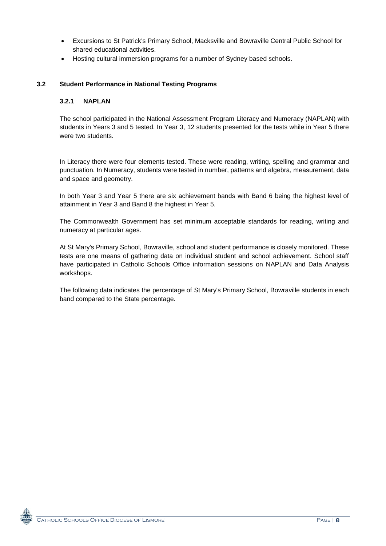- Excursions to St Patrick's Primary School, Macksville and Bowraville Central Public School for shared educational activities.
- Hosting cultural immersion programs for a number of Sydney based schools.

# **3.2 Student Performance in National Testing Programs**

#### **3.2.1 NAPLAN**

The school participated in the National Assessment Program Literacy and Numeracy (NAPLAN) with students in Years 3 and 5 tested. In Year 3, 12 students presented for the tests while in Year 5 there were two students.

In Literacy there were four elements tested. These were reading, writing, spelling and grammar and punctuation. In Numeracy, students were tested in number, patterns and algebra, measurement, data and space and geometry.

In both Year 3 and Year 5 there are six achievement bands with Band 6 being the highest level of attainment in Year 3 and Band 8 the highest in Year 5.

The Commonwealth Government has set minimum acceptable standards for reading, writing and numeracy at particular ages.

At St Mary's Primary School, Bowraville, school and student performance is closely monitored. These tests are one means of gathering data on individual student and school achievement. School staff have participated in Catholic Schools Office information sessions on NAPLAN and Data Analysis workshops.

The following data indicates the percentage of St Mary's Primary School, Bowraville students in each band compared to the State percentage.

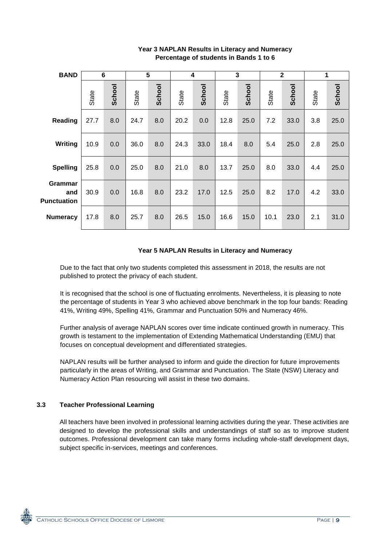| <b>BAND</b>                          | 6     |        | 5     |        | 4     |        | 3            |        |              | $\mathbf{2}$ | 1     |        |
|--------------------------------------|-------|--------|-------|--------|-------|--------|--------------|--------|--------------|--------------|-------|--------|
|                                      | State | School | State | School | State | School | <b>State</b> | School | <b>State</b> | School       | State | School |
| Reading                              | 27.7  | 8.0    | 24.7  | 8.0    | 20.2  | 0.0    | 12.8         | 25.0   | 7.2          | 33.0         | 3.8   | 25.0   |
| Writing                              | 10.9  | 0.0    | 36.0  | 8.0    | 24.3  | 33.0   | 18.4         | 8.0    | 5.4          | 25.0         | 2.8   | 25.0   |
| <b>Spelling</b>                      | 25.8  | 0.0    | 25.0  | 8.0    | 21.0  | 8.0    | 13.7         | 25.0   | 8.0          | 33.0         | 4.4   | 25.0   |
| Grammar<br>and<br><b>Punctuation</b> | 30.9  | 0.0    | 16.8  | 8.0    | 23.2  | 17.0   | 12.5         | 25.0   | 8.2          | 17.0         | 4.2   | 33.0   |
| <b>Numeracy</b>                      | 17.8  | 8.0    | 25.7  | 8.0    | 26.5  | 15.0   | 16.6         | 15.0   | 10.1         | 23.0         | 2.1   | 31.0   |

# **Year 3 NAPLAN Results in Literacy and Numeracy Percentage of students in Bands 1 to 6**

# **Year 5 NAPLAN Results in Literacy and Numeracy**

Due to the fact that only two students completed this assessment in 2018, the results are not published to protect the privacy of each student.

It is recognised that the school is one of fluctuating enrolments. Nevertheless, it is pleasing to note the percentage of students in Year 3 who achieved above benchmark in the top four bands: Reading 41%, Writing 49%, Spelling 41%, Grammar and Punctuation 50% and Numeracy 46%.

Further analysis of average NAPLAN scores over time indicate continued growth in numeracy. This growth is testament to the implementation of Extending Mathematical Understanding (EMU) that focuses on conceptual development and differentiated strategies.

NAPLAN results will be further analysed to inform and guide the direction for future improvements particularly in the areas of Writing, and Grammar and Punctuation. The State (NSW) Literacy and Numeracy Action Plan resourcing will assist in these two domains.

# **3.3 Teacher Professional Learning**

All teachers have been involved in professional learning activities during the year. These activities are designed to develop the professional skills and understandings of staff so as to improve student outcomes. Professional development can take many forms including whole-staff development days, subject specific in-services, meetings and conferences.

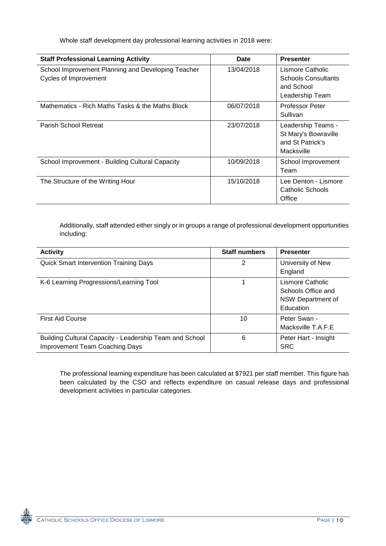Whole staff development day professional learning activities in 2018 were:

| <b>Staff Professional Learning Activity</b>                                 | Date       | <b>Presenter</b>                                                                |
|-----------------------------------------------------------------------------|------------|---------------------------------------------------------------------------------|
| School Improvement Planning and Developing Teacher<br>Cycles of Improvement | 13/04/2018 | Lismore Catholic<br><b>Schools Consultants</b><br>and School<br>Leadership Team |
| Mathematics - Rich Maths Tasks & the Maths Block                            | 06/07/2018 | <b>Professor Peter</b><br>Sullivan                                              |
| Parish School Retreat                                                       | 23/07/2018 | Leadership Teams -<br>St Mary's Bowraville<br>and St Patrick's<br>Macksville    |
| School Improvement - Building Cultural Capacity                             | 10/09/2018 | School Improvement<br>Team                                                      |
| The Structure of the Writing Hour                                           | 15/10/2018 | Lee Denton - Lismore<br>Catholic Schools<br>Office                              |

Additionally, staff attended either singly or in groups a range of professional development opportunities including:

| <b>Activity</b>                                                                                  | <b>Staff numbers</b> | <b>Presenter</b>                                                         |
|--------------------------------------------------------------------------------------------------|----------------------|--------------------------------------------------------------------------|
| <b>Quick Smart Intervention Training Days</b>                                                    | 2                    | University of New<br>England                                             |
| K-6 Learning Progressions/Learning Tool                                                          |                      | Lismore Catholic<br>Schools Office and<br>NSW Department of<br>Education |
| <b>First Aid Course</b>                                                                          | 10                   | Peter Swan -<br>Macksville T.A.F.E                                       |
| Building Cultural Capacity - Leadership Team and School<br><b>Improvement Team Coaching Days</b> | 6                    | Peter Hart - Insight<br><b>SRC</b>                                       |

The professional learning expenditure has been calculated at \$7921 per staff member. This figure has been calculated by the CSO and reflects expenditure on casual release days and professional development activities in particular categories.

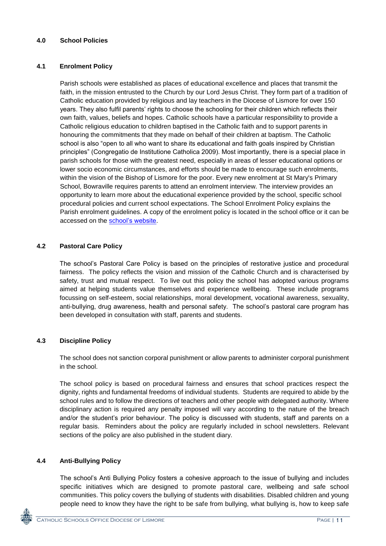#### **4.0 School Policies**

#### **4.1 Enrolment Policy**

Parish schools were established as places of educational excellence and places that transmit the faith, in the mission entrusted to the Church by our Lord Jesus Christ. They form part of a tradition of Catholic education provided by religious and lay teachers in the Diocese of Lismore for over 150 years. They also fulfil parents' rights to choose the schooling for their children which reflects their own faith, values, beliefs and hopes. Catholic schools have a particular responsibility to provide a Catholic religious education to children baptised in the Catholic faith and to support parents in honouring the commitments that they made on behalf of their children at baptism. The Catholic school is also "open to all who want to share its educational and faith goals inspired by Christian principles" (Congregatio de Institutione Catholica 2009). Most importantly, there is a special place in parish schools for those with the greatest need, especially in areas of lesser educational options or lower socio economic circumstances, and efforts should be made to encourage such enrolments, within the vision of the Bishop of Lismore for the poor. Every new enrolment at St Mary's Primary School, Bowraville requires parents to attend an enrolment interview. The interview provides an opportunity to learn more about the educational experience provided by the school, specific school procedural policies and current school expectations. The School Enrolment Policy explains the Parish enrolment guidelines. A copy of the enrolment policy is located in the school office or it can be accessed on the [school's website.](http://www.bwpplism.catholic.edu.au/policies-programs/)

# **4.2 Pastoral Care Policy**

The school's Pastoral Care Policy is based on the principles of restorative justice and procedural fairness. The policy reflects the vision and mission of the Catholic Church and is characterised by safety, trust and mutual respect. To live out this policy the school has adopted various programs aimed at helping students value themselves and experience wellbeing. These include programs focussing on self-esteem, social relationships, moral development, vocational awareness, sexuality, anti-bullying, drug awareness, health and personal safety. The school's pastoral care program has been developed in consultation with staff, parents and students.

# **4.3 Discipline Policy**

The school does not sanction corporal punishment or allow parents to administer corporal punishment in the school.

The school policy is based on procedural fairness and ensures that school practices respect the dignity, rights and fundamental freedoms of individual students. Students are required to abide by the school rules and to follow the directions of teachers and other people with delegated authority. Where disciplinary action is required any penalty imposed will vary according to the nature of the breach and/or the student's prior behaviour. The policy is discussed with students, staff and parents on a regular basis. Reminders about the policy are regularly included in school newsletters. Relevant sections of the policy are also published in the student diary.

#### **4.4 Anti-Bullying Policy**

The school's Anti Bullying Policy fosters a cohesive approach to the issue of bullying and includes specific initiatives which are designed to promote pastoral care, wellbeing and safe school communities. This policy covers the bullying of students with disabilities. Disabled children and young people need to know they have the right to be safe from bullying, what bullying is, how to keep safe

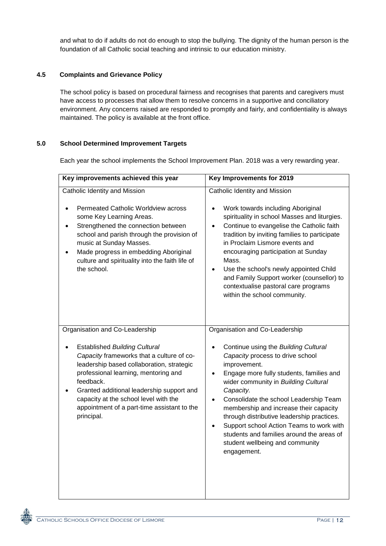and what to do if adults do not do enough to stop the bullying. The dignity of the human person is the foundation of all Catholic social teaching and intrinsic to our education ministry.

# **4.5 Complaints and Grievance Policy**

The school policy is based on procedural fairness and recognises that parents and caregivers must have access to processes that allow them to resolve concerns in a supportive and conciliatory environment. Any concerns raised are responded to promptly and fairly, and confidentiality is always maintained. The policy is available at the front office.

# **5.0 School Determined Improvement Targets**

Each year the school implements the School Improvement Plan. 2018 was a very rewarding year.

| Key improvements achieved this year                                                                                                                                                                                                                                                                                                                                      | Key Improvements for 2019                                                                                                                                                                                                                                                                                                                                                                                                                                                                                             |
|--------------------------------------------------------------------------------------------------------------------------------------------------------------------------------------------------------------------------------------------------------------------------------------------------------------------------------------------------------------------------|-----------------------------------------------------------------------------------------------------------------------------------------------------------------------------------------------------------------------------------------------------------------------------------------------------------------------------------------------------------------------------------------------------------------------------------------------------------------------------------------------------------------------|
| Catholic Identity and Mission<br><b>Permeated Catholic Worldview across</b><br>some Key Learning Areas.<br>Strengthened the connection between<br>school and parish through the provision of<br>music at Sunday Masses.<br>Made progress in embedding Aboriginal<br>culture and spirituality into the faith life of<br>the school.                                       | Catholic Identity and Mission<br>Work towards including Aboriginal<br>spirituality in school Masses and liturgies.<br>Continue to evangelise the Catholic faith<br>tradition by inviting families to participate<br>in Proclaim Lismore events and<br>encouraging participation at Sunday<br>Mass.<br>Use the school's newly appointed Child<br>and Family Support worker (counsellor) to<br>contextualise pastoral care programs<br>within the school community.                                                     |
| Organisation and Co-Leadership<br><b>Established Building Cultural</b><br>Capacity frameworks that a culture of co-<br>leadership based collaboration, strategic<br>professional learning, mentoring and<br>feedback.<br>Granted additional leadership support and<br>capacity at the school level with the<br>appointment of a part-time assistant to the<br>principal. | Organisation and Co-Leadership<br>Continue using the Building Cultural<br>Capacity process to drive school<br>improvement.<br>Engage more fully students, families and<br>wider community in Building Cultural<br>Capacity.<br>Consolidate the school Leadership Team<br>$\bullet$<br>membership and increase their capacity<br>through distributive leadership practices.<br>Support school Action Teams to work with<br>students and families around the areas of<br>student wellbeing and community<br>engagement. |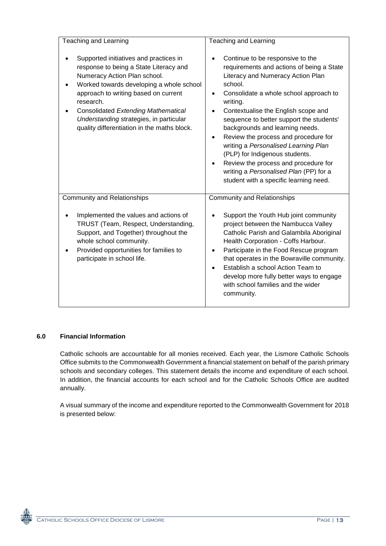| <b>Teaching and Learning</b>                                                                                                                                                                                                                                                                                                                              | Teaching and Learning                                                                                                                                                                                                                                                                                                                                                                                                                                                                                                                                                |
|-----------------------------------------------------------------------------------------------------------------------------------------------------------------------------------------------------------------------------------------------------------------------------------------------------------------------------------------------------------|----------------------------------------------------------------------------------------------------------------------------------------------------------------------------------------------------------------------------------------------------------------------------------------------------------------------------------------------------------------------------------------------------------------------------------------------------------------------------------------------------------------------------------------------------------------------|
|                                                                                                                                                                                                                                                                                                                                                           |                                                                                                                                                                                                                                                                                                                                                                                                                                                                                                                                                                      |
| Supported initiatives and practices in<br>response to being a State Literacy and<br>Numeracy Action Plan school.<br>Worked towards developing a whole school<br>approach to writing based on current<br>research.<br><b>Consolidated Extending Mathematical</b><br>Understanding strategies, in particular<br>quality differentiation in the maths block. | Continue to be responsive to the<br>requirements and actions of being a State<br>Literacy and Numeracy Action Plan<br>school.<br>Consolidate a whole school approach to<br>writing.<br>Contextualise the English scope and<br>sequence to better support the students'<br>backgrounds and learning needs.<br>Review the process and procedure for<br>writing a Personalised Learning Plan<br>(PLP) for Indigenous students.<br>Review the process and procedure for<br>$\bullet$<br>writing a Personalised Plan (PP) for a<br>student with a specific learning need. |
| <b>Community and Relationships</b>                                                                                                                                                                                                                                                                                                                        | <b>Community and Relationships</b>                                                                                                                                                                                                                                                                                                                                                                                                                                                                                                                                   |
| Implemented the values and actions of<br>TRUST (Team, Respect, Understanding,<br>Support, and Together) throughout the<br>whole school community.<br>Provided opportunities for families to<br>participate in school life.                                                                                                                                | Support the Youth Hub joint community<br>project between the Nambucca Valley<br>Catholic Parish and Galambila Aboriginal<br>Health Corporation - Coffs Harbour.<br>Participate in the Food Rescue program<br>٠<br>that operates in the Bowraville community.<br>Establish a school Action Team to<br>develop more fully better ways to engage<br>with school families and the wider<br>community.                                                                                                                                                                    |

# **6.0 Financial Information**

Catholic schools are accountable for all monies received. Each year, the Lismore Catholic Schools Office submits to the Commonwealth Government a financial statement on behalf of the parish primary schools and secondary colleges. This statement details the income and expenditure of each school. In addition, the financial accounts for each school and for the Catholic Schools Office are audited annually.

A visual summary of the income and expenditure reported to the Commonwealth Government for 2018 is presented below: